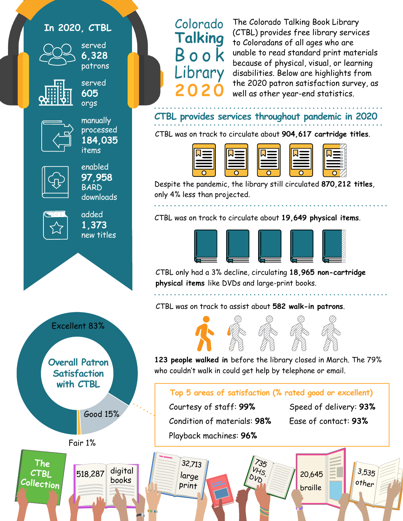## **In 2020, CTBL**



**6,328**  patrons

served

served



**605** orgs manually

processed **184,035** items



**97,958** BARD downloads

enabled



added **1,373** new titles



books

**The CTBL Collection**

## Colorado **Talking** Book brary **2020**

The Colorado Talking Book Library (CTBL) provides free library services to Coloradans of all ages who are unable to read standard print materials because of physical, visual, or learning disabilities. Below are highlights from the 2020 patron satisfaction survey, as well as other year-end statistics.

**CTBL provides services throughout pandemic in 2020**

CTBL was on track to circulate about **904,617 cartridge titles**.





Despite the pandemic, the library still circulated **870,212 titles**, only 4% less than projected.

CTBL was on track to circulate about **19,649 physical items**.



CTBL only had a 3% decline, circulating **18,965 non-cartridge physical items** like DVDs and large-print books.

CTBL was on track to assist about **582 walk-in patrons**.



**123 people walked in** before the library closed in March. The 79% who couldn't walk in could get help by telephone or email.

## **Top 5 areas of satisfaction (% rated good or excellent)**

VHS, DVD

 $35$ 

Good 15% Courtesy of staff: **99%** Condition of materials: **98%** Playback machines: **96%**

> 32,713 large print

Speed of delivery: **93%**

Ease of contact: **93%**